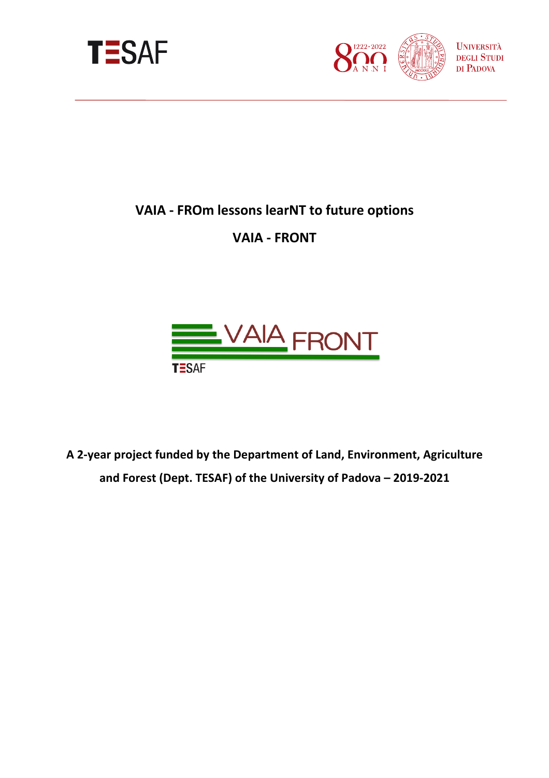



# **VAIA - FROm lessons learNT to future options**

# **VAIA - FRONT**



**A 2-year project funded by the Department of Land, Environment, Agriculture and Forest (Dept. TESAF) of the University of Padova – 2019-2021**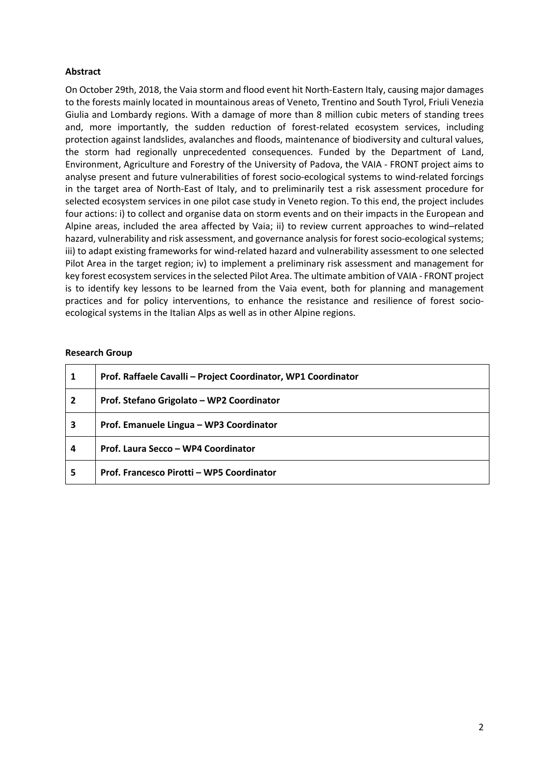## **Abstract**

On October 29th, 2018, the Vaia storm and flood event hit North-Eastern Italy, causing major damages to the forests mainly located in mountainous areas of Veneto, Trentino and South Tyrol, Friuli Venezia Giulia and Lombardy regions. With a damage of more than 8 million cubic meters of standing trees and, more importantly, the sudden reduction of forest-related ecosystem services, including protection against landslides, avalanches and floods, maintenance of biodiversity and cultural values, the storm had regionally unprecedented consequences. Funded by the Department of Land, Environment, Agriculture and Forestry of the University of Padova, the VAIA - FRONT project aims to analyse present and future vulnerabilities of forest socio-ecological systems to wind-related forcings in the target area of North-East of Italy, and to preliminarily test a risk assessment procedure for selected ecosystem services in one pilot case study in Veneto region. To this end, the project includes four actions: i) to collect and organise data on storm events and on their impacts in the European and Alpine areas, included the area affected by Vaia; ii) to review current approaches to wind–related hazard, vulnerability and risk assessment, and governance analysis for forest socio-ecological systems; iii) to adapt existing frameworks for wind-related hazard and vulnerability assessment to one selected Pilot Area in the target region; iv) to implement a preliminary risk assessment and management for key forest ecosystem services in the selected Pilot Area. The ultimate ambition of VAIA - FRONT project is to identify key lessons to be learned from the Vaia event, both for planning and management practices and for policy interventions, to enhance the resistance and resilience of forest socioecological systems in the Italian Alps as well as in other Alpine regions.

#### **Research Group**

|                         | Prof. Raffaele Cavalli - Project Coordinator, WP1 Coordinator |
|-------------------------|---------------------------------------------------------------|
| $\overline{\mathbf{2}}$ | Prof. Stefano Grigolato - WP2 Coordinator                     |
| 3                       | Prof. Emanuele Lingua - WP3 Coordinator                       |
| 4                       | Prof. Laura Secco - WP4 Coordinator                           |
| 5                       | Prof. Francesco Pirotti - WP5 Coordinator                     |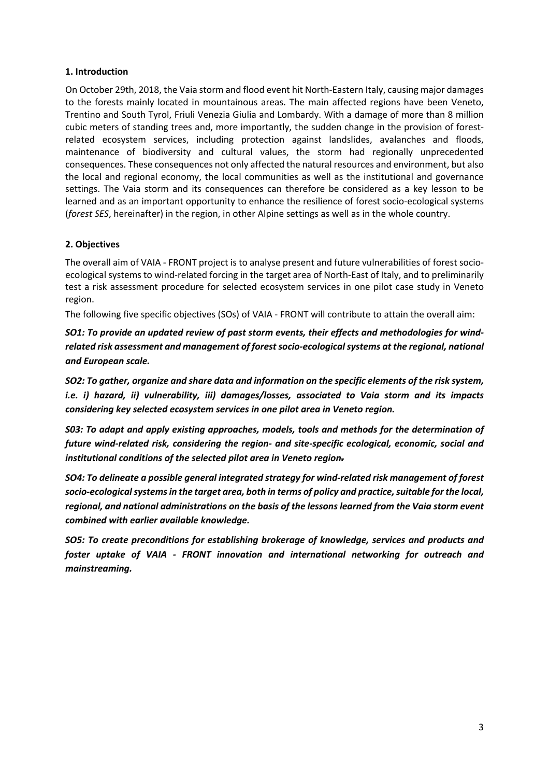## **1. Introduction**

On October 29th, 2018, the Vaia storm and flood event hit North-Eastern Italy, causing major damages to the forests mainly located in mountainous areas. The main affected regions have been Veneto, Trentino and South Tyrol, Friuli Venezia Giulia and Lombardy. With a damage of more than 8 million cubic meters of standing trees and, more importantly, the sudden change in the provision of forestrelated ecosystem services, including protection against landslides, avalanches and floods, maintenance of biodiversity and cultural values, the storm had regionally unprecedented consequences. These consequences not only affected the natural resources and environment, but also the local and regional economy, the local communities as well as the institutional and governance settings. The Vaia storm and its consequences can therefore be considered as a key lesson to be learned and as an important opportunity to enhance the resilience of forest socio-ecological systems (*forest SES*, hereinafter) in the region, in other Alpine settings as well as in the whole country.

## **2. Objectives**

The overall aim of VAIA - FRONT project is to analyse present and future vulnerabilities of forest socioecological systems to wind-related forcing in the target area of North-East of Italy, and to preliminarily test a risk assessment procedure for selected ecosystem services in one pilot case study in Veneto region.

The following five specific objectives (SOs) of VAIA - FRONT will contribute to attain the overall aim:

*SO1: To provide an updated review of past storm events, their effects and methodologies for windrelated risk assessment and management of forest socio-ecological systems at the regional, national and European scale.*

*SO2: To gather, organize and share data and information on the specific elements of the risk system, i.e. i) hazard, ii) vulnerability, iii) damages/losses, associated to Vaia storm and its impacts considering key selected ecosystem services in one pilot area in Veneto region.* 

*S03: To adapt and apply existing approaches, models, tools and methods for the determination of future wind-related risk, considering the region- and site-specific ecological, economic, social and institutional conditions of the selected pilot area in Veneto region.*

*SO4: To delineate a possible general integrated strategy for wind-related risk management of forest socio-ecological systemsin the target area, both in terms of policy and practice, suitable for the local, regional, and national administrations on the basis of the lessons learned from the Vaia storm event combined with earlier available knowledge.*

*SO5: To create preconditions for establishing brokerage of knowledge, services and products and foster uptake of VAIA - FRONT innovation and international networking for outreach and mainstreaming.*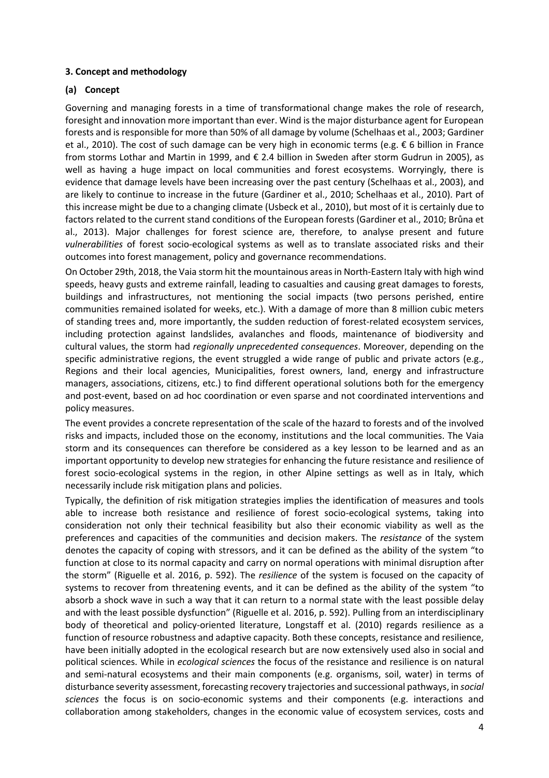## **3. Concept and methodology**

## **(a) Concept**

Governing and managing forests in a time of transformational change makes the role of research, foresight and innovation more important than ever. Wind is the major disturbance agent for European forests and is responsible for more than 50% of all damage by volume (Schelhaas et al., 2003; Gardiner et al., 2010). The cost of such damage can be very high in economic terms (e.g. € 6 billion in France from storms Lothar and Martin in 1999, and € 2.4 billion in Sweden after storm Gudrun in 2005), as well as having a huge impact on local communities and forest ecosystems. Worryingly, there is evidence that damage levels have been increasing over the past century (Schelhaas et al., 2003), and are likely to continue to increase in the future (Gardiner et al., 2010; Schelhaas et al., 2010). Part of this increase might be due to a changing climate (Usbeck et al., 2010), but most of it is certainly due to factors related to the current stand conditions of the European forests (Gardiner et al., 2010; Brůna et al., 2013). Major challenges for forest science are, therefore, to analyse present and future *vulnerabilities* of forest socio-ecological systems as well as to translate associated risks and their outcomes into forest management, policy and governance recommendations.

On October 29th, 2018, the Vaia storm hit the mountainous areas in North-Eastern Italy with high wind speeds, heavy gusts and extreme rainfall, leading to casualties and causing great damages to forests, buildings and infrastructures, not mentioning the social impacts (two persons perished, entire communities remained isolated for weeks, etc.). With a damage of more than 8 million cubic meters of standing trees and, more importantly, the sudden reduction of forest-related ecosystem services, including protection against landslides, avalanches and floods, maintenance of biodiversity and cultural values, the storm had *regionally unprecedented consequences*. Moreover, depending on the specific administrative regions, the event struggled a wide range of public and private actors (e.g., Regions and their local agencies, Municipalities, forest owners, land, energy and infrastructure managers, associations, citizens, etc.) to find different operational solutions both for the emergency and post-event, based on ad hoc coordination or even sparse and not coordinated interventions and policy measures.

The event provides a concrete representation of the scale of the hazard to forests and of the involved risks and impacts, included those on the economy, institutions and the local communities. The Vaia storm and its consequences can therefore be considered as a key lesson to be learned and as an important opportunity to develop new strategies for enhancing the future resistance and resilience of forest socio-ecological systems in the region, in other Alpine settings as well as in Italy, which necessarily include risk mitigation plans and policies.

Typically, the definition of risk mitigation strategies implies the identification of measures and tools able to increase both resistance and resilience of forest socio-ecological systems, taking into consideration not only their technical feasibility but also their economic viability as well as the preferences and capacities of the communities and decision makers. The *resistance* of the system denotes the capacity of coping with stressors, and it can be defined as the ability of the system "to function at close to its normal capacity and carry on normal operations with minimal disruption after the storm" (Riguelle et al. 2016, p. 592). The *resilience* of the system is focused on the capacity of systems to recover from threatening events, and it can be defined as the ability of the system "to absorb a shock wave in such a way that it can return to a normal state with the least possible delay and with the least possible dysfunction" (Riguelle et al. 2016, p. 592). Pulling from an interdisciplinary body of theoretical and policy-oriented literature, Longstaff et al. (2010) regards resilience as a function of resource robustness and adaptive capacity. Both these concepts, resistance and resilience, have been initially adopted in the ecological research but are now extensively used also in social and political sciences. While in *ecological sciences* the focus of the resistance and resilience is on natural and semi-natural ecosystems and their main components (e.g. organisms, soil, water) in terms of disturbance severity assessment, forecasting recovery trajectories and successional pathways, in *social sciences* the focus is on socio-economic systems and their components (e.g. interactions and collaboration among stakeholders, changes in the economic value of ecosystem services, costs and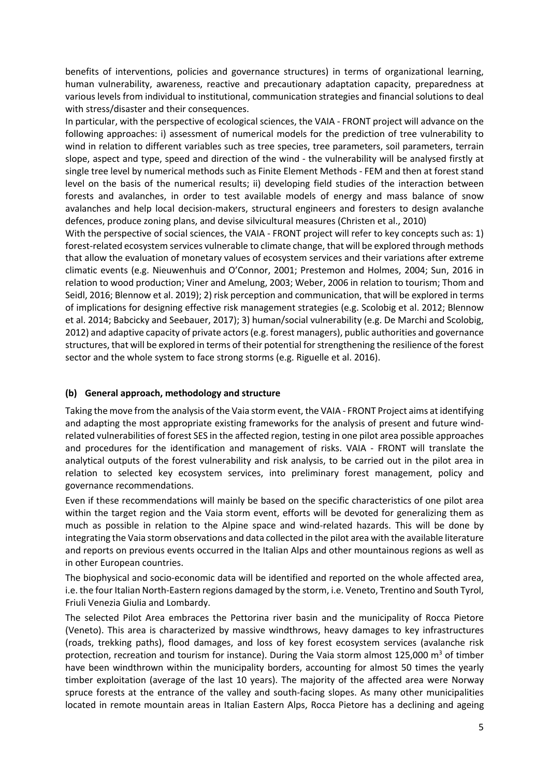benefits of interventions, policies and governance structures) in terms of organizational learning, human vulnerability, awareness, reactive and precautionary adaptation capacity, preparedness at various levels from individual to institutional, communication strategies and financial solutions to deal with stress/disaster and their consequences.

In particular, with the perspective of ecological sciences, the VAIA - FRONT project will advance on the following approaches: i) assessment of numerical models for the prediction of tree vulnerability to wind in relation to different variables such as tree species, tree parameters, soil parameters, terrain slope, aspect and type, speed and direction of the wind - the vulnerability will be analysed firstly at single tree level by numerical methods such as Finite Element Methods - FEM and then at forest stand level on the basis of the numerical results; ii) developing field studies of the interaction between forests and avalanches, in order to test available models of energy and mass balance of snow avalanches and help local decision-makers, structural engineers and foresters to design avalanche defences, produce zoning plans, and devise silvicultural measures (Christen et al., 2010)

With the perspective of social sciences, the VAIA - FRONT project will refer to key concepts such as: 1) forest-related ecosystem services vulnerable to climate change, that will be explored through methods that allow the evaluation of monetary values of ecosystem services and their variations after extreme climatic events (e.g. Nieuwenhuis and O'Connor, 2001; Prestemon and Holmes, 2004; Sun, 2016 in relation to wood production; Viner and Amelung, 2003; Weber, 2006 in relation to tourism; Thom and Seidl, 2016; Blennow et al. 2019); 2) risk perception and communication, that will be explored in terms of implications for designing effective risk management strategies (e.g. Scolobig et al. 2012; Blennow et al. 2014; Babcicky and Seebauer, 2017); 3) human/social vulnerability (e.g. De Marchi and Scolobig, 2012) and adaptive capacity of private actors(e.g. forest managers), public authorities and governance structures, that will be explored in terms of their potential for strengthening the resilience of the forest sector and the whole system to face strong storms (e.g. Riguelle et al. 2016).

# **(b) General approach, methodology and structure**

Taking the move from the analysis of the Vaia storm event, the VAIA - FRONT Project aims at identifying and adapting the most appropriate existing frameworks for the analysis of present and future windrelated vulnerabilities of forest SES in the affected region, testing in one pilot area possible approaches and procedures for the identification and management of risks. VAIA - FRONT will translate the analytical outputs of the forest vulnerability and risk analysis, to be carried out in the pilot area in relation to selected key ecosystem services, into preliminary forest management, policy and governance recommendations.

Even if these recommendations will mainly be based on the specific characteristics of one pilot area within the target region and the Vaia storm event, efforts will be devoted for generalizing them as much as possible in relation to the Alpine space and wind-related hazards. This will be done by integrating the Vaia storm observations and data collected in the pilot area with the available literature and reports on previous events occurred in the Italian Alps and other mountainous regions as well as in other European countries.

The biophysical and socio-economic data will be identified and reported on the whole affected area, i.e. the four Italian North-Eastern regions damaged by the storm, i.e. Veneto, Trentino and South Tyrol, Friuli Venezia Giulia and Lombardy.

The selected Pilot Area embraces the Pettorina river basin and the municipality of Rocca Pietore (Veneto). This area is characterized by massive windthrows, heavy damages to key infrastructures (roads, trekking paths), flood damages, and loss of key forest ecosystem services (avalanche risk protection, recreation and tourism for instance). During the Vaia storm almost 125,000  $\text{m}^3$  of timber have been windthrown within the municipality borders, accounting for almost 50 times the yearly timber exploitation (average of the last 10 years). The majority of the affected area were Norway spruce forests at the entrance of the valley and south-facing slopes. As many other municipalities located in remote mountain areas in Italian Eastern Alps, Rocca Pietore has a declining and ageing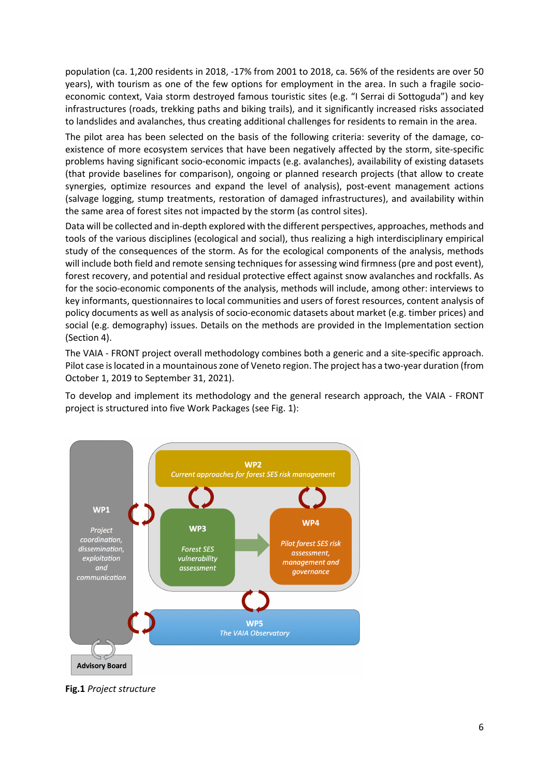population (ca. 1,200 residents in 2018, -17% from 2001 to 2018, ca. 56% of the residents are over 50 years), with tourism as one of the few options for employment in the area. In such a fragile socioeconomic context, Vaia storm destroyed famous touristic sites (e.g. "I Serrai di Sottoguda") and key infrastructures (roads, trekking paths and biking trails), and it significantly increased risks associated to landslides and avalanches, thus creating additional challenges for residents to remain in the area.

The pilot area has been selected on the basis of the following criteria: severity of the damage, coexistence of more ecosystem services that have been negatively affected by the storm, site-specific problems having significant socio-economic impacts (e.g. avalanches), availability of existing datasets (that provide baselines for comparison), ongoing or planned research projects (that allow to create synergies, optimize resources and expand the level of analysis), post-event management actions (salvage logging, stump treatments, restoration of damaged infrastructures), and availability within the same area of forest sites not impacted by the storm (as control sites).

Data will be collected and in-depth explored with the different perspectives, approaches, methods and tools of the various disciplines (ecological and social), thus realizing a high interdisciplinary empirical study of the consequences of the storm. As for the ecological components of the analysis, methods will include both field and remote sensing techniques for assessing wind firmness (pre and post event), forest recovery, and potential and residual protective effect against snow avalanches and rockfalls. As for the socio-economic components of the analysis, methods will include, among other: interviews to key informants, questionnaires to local communities and users of forest resources, content analysis of policy documents as well as analysis of socio-economic datasets about market (e.g. timber prices) and social (e.g. demography) issues. Details on the methods are provided in the Implementation section (Section 4).

The VAIA - FRONT project overall methodology combines both a generic and a site-specific approach. Pilot case is located in a mountainous zone of Veneto region. The project has a two-year duration (from October 1, 2019 to September 31, 2021).

To develop and implement its methodology and the general research approach, the VAIA - FRONT project is structured into five Work Packages (see Fig. 1):



**Fig.1** *Project structure*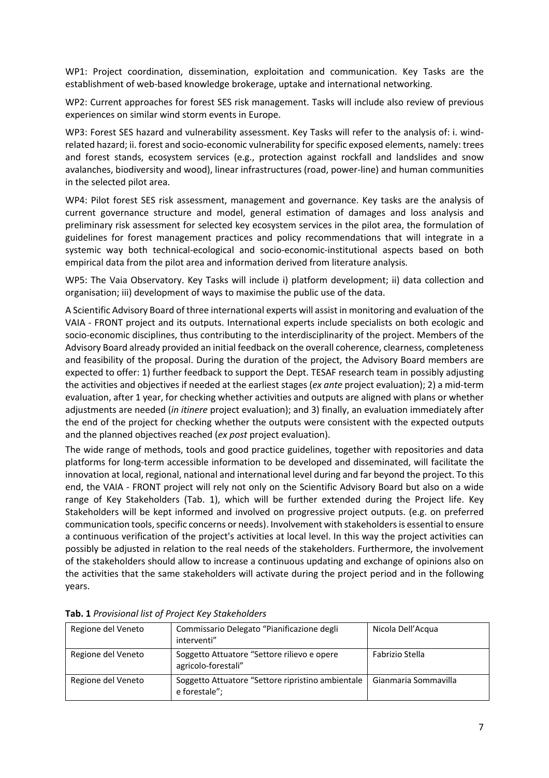WP1: Project coordination, dissemination, exploitation and communication. Key Tasks are the establishment of web-based knowledge brokerage, uptake and international networking.

WP2: Current approaches for forest SES risk management. Tasks will include also review of previous experiences on similar wind storm events in Europe.

WP3: Forest SES hazard and vulnerability assessment. Key Tasks will refer to the analysis of: i. windrelated hazard; ii. forest and socio-economic vulnerability for specific exposed elements, namely: trees and forest stands, ecosystem services (e.g., protection against rockfall and landslides and snow avalanches, biodiversity and wood), linear infrastructures (road, power-line) and human communities in the selected pilot area.

WP4: Pilot forest SES risk assessment, management and governance. Key tasks are the analysis of current governance structure and model, general estimation of damages and loss analysis and preliminary risk assessment for selected key ecosystem services in the pilot area, the formulation of guidelines for forest management practices and policy recommendations that will integrate in a systemic way both technical-ecological and socio-economic-institutional aspects based on both empirical data from the pilot area and information derived from literature analysis.

WP5: The Vaia Observatory. Key Tasks will include i) platform development; ii) data collection and organisation; iii) development of ways to maximise the public use of the data.

A Scientific Advisory Board of three international experts will assist in monitoring and evaluation of the VAIA - FRONT project and its outputs. International experts include specialists on both ecologic and socio-economic disciplines, thus contributing to the interdisciplinarity of the project. Members of the Advisory Board already provided an initial feedback on the overall coherence, clearness, completeness and feasibility of the proposal. During the duration of the project, the Advisory Board members are expected to offer: 1) further feedback to support the Dept. TESAF research team in possibly adjusting the activities and objectives if needed at the earliest stages (*ex ante* project evaluation); 2) a mid-term evaluation, after 1 year, for checking whether activities and outputs are aligned with plans or whether adjustments are needed (*in itinere* project evaluation); and 3) finally, an evaluation immediately after the end of the project for checking whether the outputs were consistent with the expected outputs and the planned objectives reached (*ex post* project evaluation).

The wide range of methods, tools and good practice guidelines, together with repositories and data platforms for long-term accessible information to be developed and disseminated, will facilitate the innovation at local, regional, national and international level during and far beyond the project. To this end, the VAIA - FRONT project will rely not only on the Scientific Advisory Board but also on a wide range of Key Stakeholders (Tab. 1), which will be further extended during the Project life. Key Stakeholders will be kept informed and involved on progressive project outputs. (e.g. on preferred communication tools, specific concerns or needs). Involvement with stakeholders is essential to ensure a continuous verification of the project's activities at local level. In this way the project activities can possibly be adjusted in relation to the real needs of the stakeholders. Furthermore, the involvement of the stakeholders should allow to increase a continuous updating and exchange of opinions also on the activities that the same stakeholders will activate during the project period and in the following years.

| Regione del Veneto | Commissario Delegato "Pianificazione degli<br>interventi"          | Nicola Dell'Acqua    |
|--------------------|--------------------------------------------------------------------|----------------------|
| Regione del Veneto | Soggetto Attuatore "Settore rilievo e opere<br>agricolo-forestali" | Fabrizio Stella      |
| Regione del Veneto | Soggetto Attuatore "Settore ripristino ambientale<br>e forestale"; | Gianmaria Sommavilla |

**Tab. 1** *Provisional list of Project Key Stakeholders*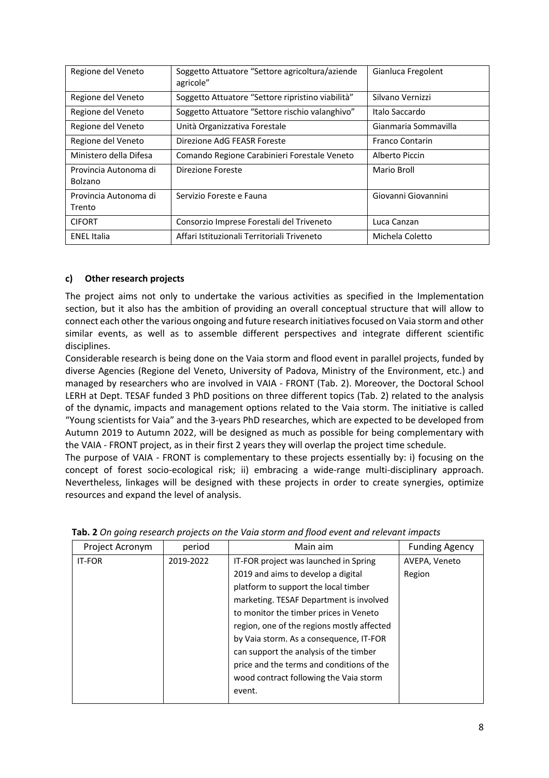| Regione del Veneto               | Soggetto Attuatore "Settore agricoltura/aziende<br>agricole" | Gianluca Fregolent     |
|----------------------------------|--------------------------------------------------------------|------------------------|
| Regione del Veneto               | Soggetto Attuatore "Settore ripristino viabilità"            | Silvano Vernizzi       |
| Regione del Veneto               | Soggetto Attuatore "Settore rischio valanghivo"              | Italo Saccardo         |
| Regione del Veneto               | Unità Organizzativa Forestale                                | Gianmaria Sommavilla   |
| Regione del Veneto               | Direzione AdG FEASR Foreste                                  | <b>Franco Contarin</b> |
| Ministero della Difesa           | Comando Regione Carabinieri Forestale Veneto                 | Alberto Piccin         |
| Provincia Autonoma di<br>Bolzano | Direzione Foreste                                            | Mario Broll            |
| Provincia Autonoma di<br>Trento  | Servizio Foreste e Fauna                                     | Giovanni Giovannini    |
| <b>CIFORT</b>                    | Consorzio Imprese Forestali del Triveneto                    | Luca Canzan            |
| <b>ENEL Italia</b>               | Affari Istituzionali Territoriali Triveneto                  | Michela Coletto        |

# **c) Other research projects**

The project aims not only to undertake the various activities as specified in the Implementation section, but it also has the ambition of providing an overall conceptual structure that will allow to connect each other the various ongoing and future research initiatives focused on Vaia storm and other similar events, as well as to assemble different perspectives and integrate different scientific disciplines.

Considerable research is being done on the Vaia storm and flood event in parallel projects, funded by diverse Agencies (Regione del Veneto, University of Padova, Ministry of the Environment, etc.) and managed by researchers who are involved in VAIA - FRONT (Tab. 2). Moreover, the Doctoral School LERH at Dept. TESAF funded 3 PhD positions on three different topics (Tab. 2) related to the analysis of the dynamic, impacts and management options related to the Vaia storm. The initiative is called "Young scientists for Vaia" and the 3-years PhD researches, which are expected to be developed from Autumn 2019 to Autumn 2022, will be designed as much as possible for being complementary with the VAIA - FRONT project, as in their first 2 years they will overlap the project time schedule.

The purpose of VAIA - FRONT is complementary to these projects essentially by: i) focusing on the concept of forest socio-ecological risk; ii) embracing a wide-range multi-disciplinary approach. Nevertheless, linkages will be designed with these projects in order to create synergies, optimize resources and expand the level of analysis.

| Project Acronym | period    | Main aim                                   | <b>Funding Agency</b> |
|-----------------|-----------|--------------------------------------------|-----------------------|
| <b>IT-FOR</b>   | 2019-2022 | IT-FOR project was launched in Spring      | AVEPA, Veneto         |
|                 |           | 2019 and aims to develop a digital         | Region                |
|                 |           | platform to support the local timber       |                       |
|                 |           | marketing. TESAF Department is involved    |                       |
|                 |           | to monitor the timber prices in Veneto     |                       |
|                 |           | region, one of the regions mostly affected |                       |
|                 |           | by Vaia storm. As a consequence, IT-FOR    |                       |
|                 |           | can support the analysis of the timber     |                       |
|                 |           | price and the terms and conditions of the  |                       |
|                 |           | wood contract following the Vaia storm     |                       |
|                 |           | event.                                     |                       |
|                 |           |                                            |                       |

| Tab. 2 On going research projects on the Vaia storm and flood event and relevant impacts |  |  |  |  |
|------------------------------------------------------------------------------------------|--|--|--|--|
|                                                                                          |  |  |  |  |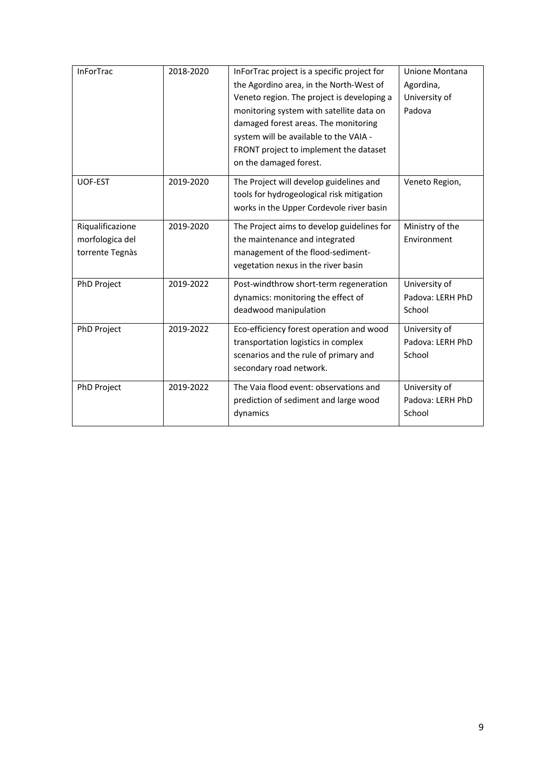| <b>InForTrac</b>                                       | 2018-2020 | InForTrac project is a specific project for<br>the Agordino area, in the North-West of<br>Veneto region. The project is developing a<br>monitoring system with satellite data on<br>damaged forest areas. The monitoring<br>system will be available to the VAIA -<br>FRONT project to implement the dataset<br>on the damaged forest. | Unione Montana<br>Agordina,<br>University of<br>Padova |
|--------------------------------------------------------|-----------|----------------------------------------------------------------------------------------------------------------------------------------------------------------------------------------------------------------------------------------------------------------------------------------------------------------------------------------|--------------------------------------------------------|
| UOF-EST                                                | 2019-2020 | The Project will develop guidelines and<br>tools for hydrogeological risk mitigation<br>works in the Upper Cordevole river basin                                                                                                                                                                                                       | Veneto Region,                                         |
| Riqualificazione<br>morfologica del<br>torrente Tegnàs | 2019-2020 | The Project aims to develop guidelines for<br>the maintenance and integrated<br>management of the flood-sediment-<br>vegetation nexus in the river basin                                                                                                                                                                               | Ministry of the<br>Environment                         |
| PhD Project                                            | 2019-2022 | Post-windthrow short-term regeneration<br>dynamics: monitoring the effect of<br>deadwood manipulation                                                                                                                                                                                                                                  | University of<br>Padova: LERH PhD<br>School            |
| PhD Project                                            | 2019-2022 | Eco-efficiency forest operation and wood<br>transportation logistics in complex<br>scenarios and the rule of primary and<br>secondary road network.                                                                                                                                                                                    | University of<br>Padova: LERH PhD<br>School            |
| PhD Project                                            | 2019-2022 | The Vaia flood event: observations and<br>prediction of sediment and large wood<br>dynamics                                                                                                                                                                                                                                            | University of<br>Padova: LERH PhD<br>School            |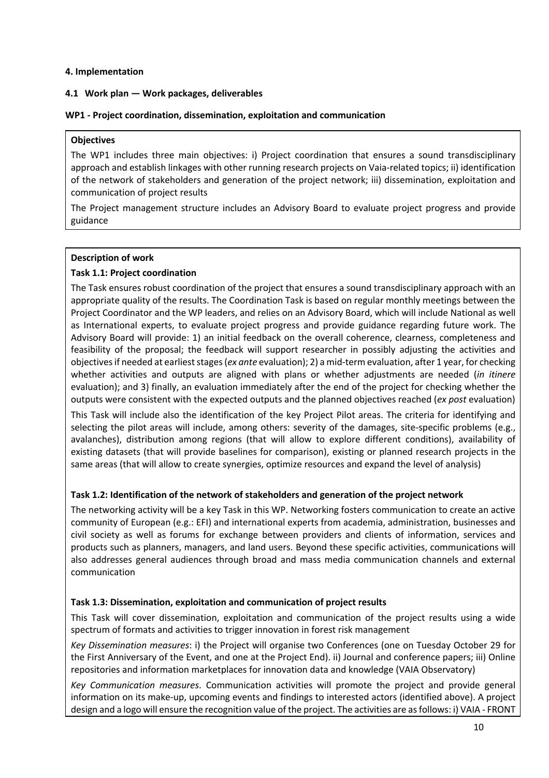## **4. Implementation**

#### **4.1 Work plan — Work packages, deliverables**

#### **WP1 - Project coordination, dissemination, exploitation and communication**

#### **Objectives**

The WP1 includes three main objectives: i) Project coordination that ensures a sound transdisciplinary approach and establish linkages with other running research projects on Vaia-related topics; ii) identification of the network of stakeholders and generation of the project network; iii) dissemination, exploitation and communication of project results

The Project management structure includes an Advisory Board to evaluate project progress and provide guidance

## **Description of work**

## **Task 1.1: Project coordination**

The Task ensures robust coordination of the project that ensures a sound transdisciplinary approach with an appropriate quality of the results. The Coordination Task is based on regular monthly meetings between the Project Coordinator and the WP leaders, and relies on an Advisory Board, which will include National as well as International experts, to evaluate project progress and provide guidance regarding future work. The Advisory Board will provide: 1) an initial feedback on the overall coherence, clearness, completeness and feasibility of the proposal; the feedback will support researcher in possibly adjusting the activities and objectives if needed at earliest stages (*ex ante* evaluation); 2) a mid-term evaluation, after 1 year, for checking whether activities and outputs are aligned with plans or whether adjustments are needed (*in itinere* evaluation); and 3) finally, an evaluation immediately after the end of the project for checking whether the outputs were consistent with the expected outputs and the planned objectives reached (*ex post* evaluation)

This Task will include also the identification of the key Project Pilot areas. The criteria for identifying and selecting the pilot areas will include, among others: severity of the damages, site-specific problems (e.g., avalanches), distribution among regions (that will allow to explore different conditions), availability of existing datasets (that will provide baselines for comparison), existing or planned research projects in the same areas (that will allow to create synergies, optimize resources and expand the level of analysis)

#### **Task 1.2: Identification of the network of stakeholders and generation of the project network**

The networking activity will be a key Task in this WP. Networking fosters communication to create an active community of European (e.g.: EFI) and international experts from academia, administration, businesses and civil society as well as forums for exchange between providers and clients of information, services and products such as planners, managers, and land users. Beyond these specific activities, communications will also addresses general audiences through broad and mass media communication channels and external communication

#### **Task 1.3: Dissemination, exploitation and communication of project results**

This Task will cover dissemination, exploitation and communication of the project results using a wide spectrum of formats and activities to trigger innovation in forest risk management

*Key Dissemination measures*: i) the Project will organise two Conferences (one on Tuesday October 29 for the First Anniversary of the Event, and one at the Project End). ii) Journal and conference papers; iii) Online repositories and information marketplaces for innovation data and knowledge (VAIA Observatory)

*Key Communication measures*. Communication activities will promote the project and provide general information on its make-up, upcoming events and findings to interested actors (identified above). A project design and a logo will ensure the recognition value of the project. The activities are as follows: i) VAIA - FRONT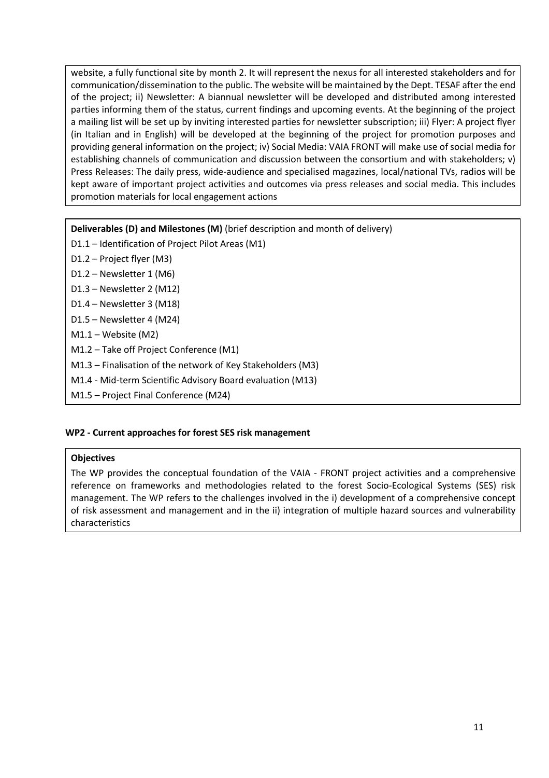website, a fully functional site by month 2. It will represent the nexus for all interested stakeholders and for communication/dissemination to the public. The website will be maintained by the Dept. TESAF after the end of the project; ii) Newsletter: A biannual newsletter will be developed and distributed among interested parties informing them of the status, current findings and upcoming events. At the beginning of the project a mailing list will be set up by inviting interested parties for newsletter subscription; iii) Flyer: A project flyer (in Italian and in English) will be developed at the beginning of the project for promotion purposes and providing general information on the project; iv) Social Media: VAIA FRONT will make use of social media for establishing channels of communication and discussion between the consortium and with stakeholders; v) Press Releases: The daily press, wide-audience and specialised magazines, local/national TVs, radios will be kept aware of important project activities and outcomes via press releases and social media. This includes promotion materials for local engagement actions

# **Deliverables (D) and Milestones (M)** (brief description and month of delivery)

- D1.1 Identification of Project Pilot Areas (M1)
- D1.2 Project flyer (M3)
- D1.2 Newsletter 1 (M6)
- D1.3 Newsletter 2 (M12)
- D1.4 Newsletter 3 (M18)
- D1.5 Newsletter 4 (M24)
- M1.1 Website (M2)
- M1.2 Take off Project Conference (M1)
- M1.3 Finalisation of the network of Key Stakeholders (M3)
- M1.4 Mid-term Scientific Advisory Board evaluation (M13)
- M1.5 Project Final Conference (M24)

# **WP2 - Current approaches for forest SES risk management**

#### **Objectives**

The WP provides the conceptual foundation of the VAIA - FRONT project activities and a comprehensive reference on frameworks and methodologies related to the forest Socio-Ecological Systems (SES) risk management. The WP refers to the challenges involved in the i) development of a comprehensive concept of risk assessment and management and in the ii) integration of multiple hazard sources and vulnerability characteristics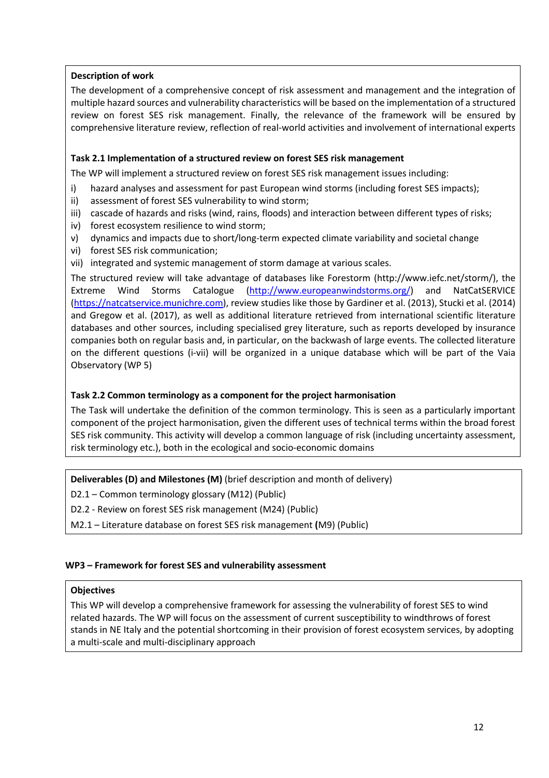# **Description of work**

The development of a comprehensive concept of risk assessment and management and the integration of multiple hazard sources and vulnerability characteristics will be based on the implementation of a structured review on forest SES risk management. Finally, the relevance of the framework will be ensured by comprehensive literature review, reflection of real-world activities and involvement of international experts

## **Task 2.1 Implementation of a structured review on forest SES risk management**

The WP will implement a structured review on forest SES risk management issues including:

- i) hazard analyses and assessment for past European wind storms (including forest SES impacts);
- ii) assessment of forest SES vulnerability to wind storm;
- iii) cascade of hazards and risks (wind, rains, floods) and interaction between different types of risks;
- iv) forest ecosystem resilience to wind storm;
- v) dynamics and impacts due to short/long-term expected climate variability and societal change
- vi) forest SES risk communication;
- vii) integrated and systemic management of storm damage at various scales.

The structured review will take advantage of databases like Forestorm (http://www.iefc.net/storm/), the Extreme Wind Storms Catalogue (http://www.europeanwindstorms.org/) and NatCatSERVICE (https://natcatservice.munichre.com), review studies like those by Gardiner et al. (2013), Stucki et al. (2014) and Gregow et al. (2017), as well as additional literature retrieved from international scientific literature databases and other sources, including specialised grey literature, such as reports developed by insurance companies both on regular basis and, in particular, on the backwash of large events. The collected literature on the different questions (i-vii) will be organized in a unique database which will be part of the Vaia Observatory (WP 5)

# **Task 2.2 Common terminology as a component for the project harmonisation**

The Task will undertake the definition of the common terminology. This is seen as a particularly important component of the project harmonisation, given the different uses of technical terms within the broad forest SES risk community. This activity will develop a common language of risk (including uncertainty assessment, risk terminology etc.), both in the ecological and socio-economic domains

**Deliverables (D) and Milestones (M)** (brief description and month of delivery)

D2.1 – Common terminology glossary (M12) (Public)

D2.2 - Review on forest SES risk management (M24) (Public)

M2.1 – Literature database on forest SES risk management **(**M9) (Public)

#### **WP3 – Framework for forest SES and vulnerability assessment**

#### **Objectives**

This WP will develop a comprehensive framework for assessing the vulnerability of forest SES to wind related hazards. The WP will focus on the assessment of current susceptibility to windthrows of forest stands in NE Italy and the potential shortcoming in their provision of forest ecosystem services, by adopting a multi-scale and multi-disciplinary approach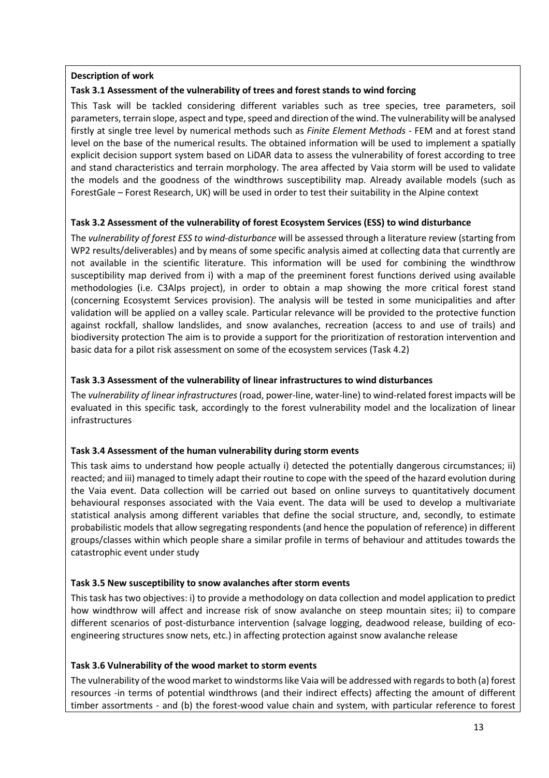## **Description of work**

# **Task 3.1 Assessment of the vulnerability of trees and forest stands to wind forcing**

This Task will be tackled considering different variables such as tree species, tree parameters, soil parameters, terrain slope, aspect and type, speed and direction of the wind. The vulnerability will be analysed firstly at single tree level by numerical methods such as *Finite Element Methods* - FEM and at forest stand level on the base of the numerical results. The obtained information will be used to implement a spatially explicit decision support system based on LiDAR data to assess the vulnerability of forest according to tree and stand characteristics and terrain morphology. The area affected by Vaia storm will be used to validate the models and the goodness of the windthrows susceptibility map. Already available models (such as ForestGale – Forest Research, UK) will be used in order to test their suitability in the Alpine context

# **Task 3.2 Assessment of the vulnerability of forest Ecosystem Services (ESS) to wind disturbance**

The *vulnerability of forest ESS to wind-disturbance* will be assessed through a literature review (starting from WP2 results/deliverables) and by means of some specific analysis aimed at collecting data that currently are not available in the scientific literature. This information will be used for combining the windthrow susceptibility map derived from i) with a map of the preeminent forest functions derived using available methodologies (i.e. C3Alps project), in order to obtain a map showing the more critical forest stand (concerning Ecosystemt Services provision). The analysis will be tested in some municipalities and after validation will be applied on a valley scale. Particular relevance will be provided to the protective function against rockfall, shallow landslides, and snow avalanches, recreation (access to and use of trails) and biodiversity protection The aim is to provide a support for the prioritization of restoration intervention and basic data for a pilot risk assessment on some of the ecosystem services (Task 4.2)

# **Task 3.3 Assessment of the vulnerability of linear infrastructures to wind disturbances**

The *vulnerability of linear infrastructures*(road, power-line, water-line) to wind-related forest impacts will be evaluated in this specific task, accordingly to the forest vulnerability model and the localization of linear infrastructures

# **Task 3.4 Assessment of the human vulnerability during storm events**

This task aims to understand how people actually i) detected the potentially dangerous circumstances; ii) reacted; and iii) managed to timely adapt their routine to cope with the speed of the hazard evolution during the Vaia event. Data collection will be carried out based on online surveys to quantitatively document behavioural responses associated with the Vaia event. The data will be used to develop a multivariate statistical analysis among different variables that define the social structure, and, secondly, to estimate probabilistic models that allow segregating respondents (and hence the population of reference) in different groups/classes within which people share a similar profile in terms of behaviour and attitudes towards the catastrophic event under study

# **Task 3.5 New susceptibility to snow avalanches after storm events**

This task has two objectives: i) to provide a methodology on data collection and model application to predict how windthrow will affect and increase risk of snow avalanche on steep mountain sites; ii) to compare different scenarios of post-disturbance intervention (salvage logging, deadwood release, building of ecoengineering structures snow nets, etc.) in affecting protection against snow avalanche release

# **Task 3.6 Vulnerability of the wood market to storm events**

The vulnerability of the wood market to windstorms like Vaia will be addressed with regards to both (a) forest resources -in terms of potential windthrows (and their indirect effects) affecting the amount of different timber assortments - and (b) the forest-wood value chain and system, with particular reference to forest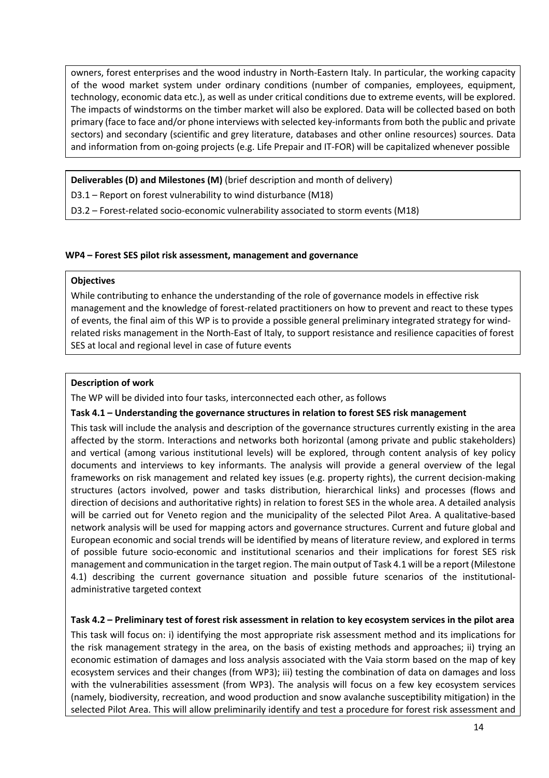owners, forest enterprises and the wood industry in North-Eastern Italy. In particular, the working capacity of the wood market system under ordinary conditions (number of companies, employees, equipment, technology, economic data etc.), as well as under critical conditions due to extreme events, will be explored. The impacts of windstorms on the timber market will also be explored. Data will be collected based on both primary (face to face and/or phone interviews with selected key-informants from both the public and private sectors) and secondary (scientific and grey literature, databases and other online resources) sources. Data and information from on-going projects (e.g. Life Prepair and IT-FOR) will be capitalized whenever possible

**Deliverables (D) and Milestones (M)** (brief description and month of delivery)

D3.1 – Report on forest vulnerability to wind disturbance (M18)

D3.2 – Forest-related socio-economic vulnerability associated to storm events (M18)

#### **WP4 – Forest SES pilot risk assessment, management and governance**

## **Objectives**

While contributing to enhance the understanding of the role of governance models in effective risk management and the knowledge of forest-related practitioners on how to prevent and react to these types of events, the final aim of this WP is to provide a possible general preliminary integrated strategy for windrelated risks management in the North-East of Italy, to support resistance and resilience capacities of forest SES at local and regional level in case of future events

## **Description of work**

The WP will be divided into four tasks, interconnected each other, as follows

#### **Task 4.1 – Understanding the governance structures in relation to forest SES risk management**

This task will include the analysis and description of the governance structures currently existing in the area affected by the storm. Interactions and networks both horizontal (among private and public stakeholders) and vertical (among various institutional levels) will be explored, through content analysis of key policy documents and interviews to key informants. The analysis will provide a general overview of the legal frameworks on risk management and related key issues (e.g. property rights), the current decision-making structures (actors involved, power and tasks distribution, hierarchical links) and processes (flows and direction of decisions and authoritative rights) in relation to forest SES in the whole area. A detailed analysis will be carried out for Veneto region and the municipality of the selected Pilot Area. A qualitative-based network analysis will be used for mapping actors and governance structures. Current and future global and European economic and social trends will be identified by means of literature review, and explored in terms of possible future socio-economic and institutional scenarios and their implications for forest SES risk management and communication in the target region. The main output of Task 4.1 will be a report (Milestone 4.1) describing the current governance situation and possible future scenarios of the institutionaladministrative targeted context

# **Task 4.2 – Preliminary test of forest risk assessment in relation to key ecosystem services in the pilot area**

This task will focus on: i) identifying the most appropriate risk assessment method and its implications for the risk management strategy in the area, on the basis of existing methods and approaches; ii) trying an economic estimation of damages and loss analysis associated with the Vaia storm based on the map of key ecosystem services and their changes (from WP3); iii) testing the combination of data on damages and loss with the vulnerabilities assessment (from WP3). The analysis will focus on a few key ecosystem services (namely, biodiversity, recreation, and wood production and snow avalanche susceptibility mitigation) in the selected Pilot Area. This will allow preliminarily identify and test a procedure for forest risk assessment and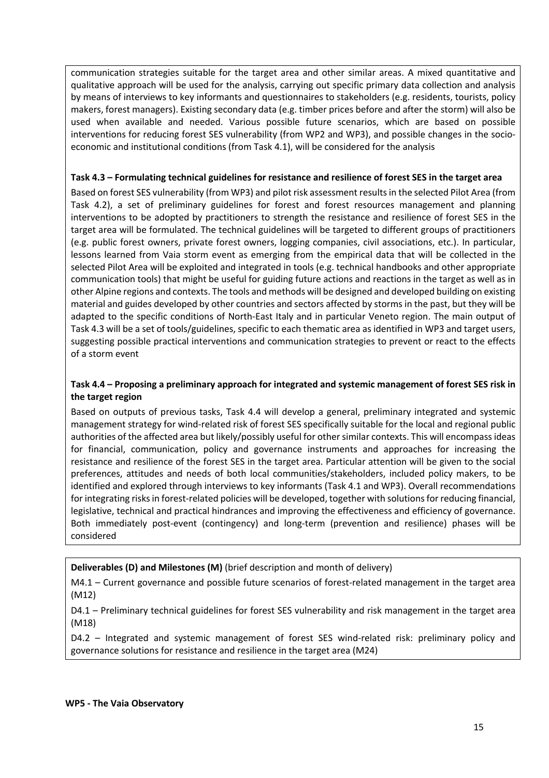communication strategies suitable for the target area and other similar areas. A mixed quantitative and qualitative approach will be used for the analysis, carrying out specific primary data collection and analysis by means of interviews to key informants and questionnaires to stakeholders (e.g. residents, tourists, policy makers, forest managers). Existing secondary data (e.g. timber prices before and after the storm) will also be used when available and needed. Various possible future scenarios, which are based on possible interventions for reducing forest SES vulnerability (from WP2 and WP3), and possible changes in the socioeconomic and institutional conditions (from Task 4.1), will be considered for the analysis

## **Task 4.3 – Formulating technical guidelines for resistance and resilience of forest SES in the target area**

Based on forest SES vulnerability (from WP3) and pilot risk assessment results in the selected Pilot Area (from Task 4.2), a set of preliminary guidelines for forest and forest resources management and planning interventions to be adopted by practitioners to strength the resistance and resilience of forest SES in the target area will be formulated. The technical guidelines will be targeted to different groups of practitioners (e.g. public forest owners, private forest owners, logging companies, civil associations, etc.). In particular, lessons learned from Vaia storm event as emerging from the empirical data that will be collected in the selected Pilot Area will be exploited and integrated in tools (e.g. technical handbooks and other appropriate communication tools) that might be useful for guiding future actions and reactions in the target as well as in other Alpine regions and contexts. The tools and methods will be designed and developed building on existing material and guides developed by other countries and sectors affected by storms in the past, but they will be adapted to the specific conditions of North-East Italy and in particular Veneto region. The main output of Task 4.3 will be a set of tools/guidelines, specific to each thematic area as identified in WP3 and target users, suggesting possible practical interventions and communication strategies to prevent or react to the effects of a storm event

# **Task 4.4 – Proposing a preliminary approach for integrated and systemic management of forest SES risk in the target region**

Based on outputs of previous tasks, Task 4.4 will develop a general, preliminary integrated and systemic management strategy for wind-related risk of forest SES specifically suitable for the local and regional public authorities of the affected area but likely/possibly useful for other similar contexts. This will encompassideas for financial, communication, policy and governance instruments and approaches for increasing the resistance and resilience of the forest SES in the target area. Particular attention will be given to the social preferences, attitudes and needs of both local communities/stakeholders, included policy makers, to be identified and explored through interviews to key informants (Task 4.1 and WP3). Overall recommendations for integrating risks in forest-related policies will be developed, together with solutions for reducing financial, legislative, technical and practical hindrances and improving the effectiveness and efficiency of governance. Both immediately post-event (contingency) and long-term (prevention and resilience) phases will be considered

# **Deliverables (D) and Milestones (M)** (brief description and month of delivery)

M4.1 – Current governance and possible future scenarios of forest-related management in the target area (M12)

D4.1 – Preliminary technical guidelines for forest SES vulnerability and risk management in the target area (M18)

D4.2 – Integrated and systemic management of forest SES wind-related risk: preliminary policy and governance solutions for resistance and resilience in the target area (M24)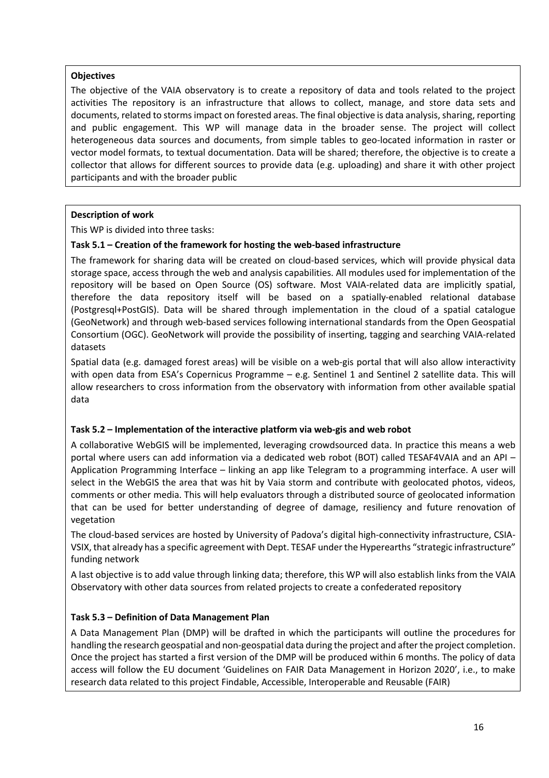## **Objectives**

The objective of the VAIA observatory is to create a repository of data and tools related to the project activities The repository is an infrastructure that allows to collect, manage, and store data sets and documents, related to storms impact on forested areas. The final objective is data analysis, sharing, reporting and public engagement. This WP will manage data in the broader sense. The project will collect heterogeneous data sources and documents, from simple tables to geo-located information in raster or vector model formats, to textual documentation. Data will be shared; therefore, the objective is to create a collector that allows for different sources to provide data (e.g. uploading) and share it with other project participants and with the broader public

# **Description of work**

This WP is divided into three tasks:

# **Task 5.1 – Creation of the framework for hosting the web-based infrastructure**

The framework for sharing data will be created on cloud-based services, which will provide physical data storage space, access through the web and analysis capabilities. All modules used for implementation of the repository will be based on Open Source (OS) software. Most VAIA-related data are implicitly spatial, therefore the data repository itself will be based on a spatially-enabled relational database (Postgresql+PostGIS). Data will be shared through implementation in the cloud of a spatial catalogue (GeoNetwork) and through web-based services following international standards from the Open Geospatial Consortium (OGC). GeoNetwork will provide the possibility of inserting, tagging and searching VAIA-related datasets

Spatial data (e.g. damaged forest areas) will be visible on a web-gis portal that will also allow interactivity with open data from ESA's Copernicus Programme – e.g. Sentinel 1 and Sentinel 2 satellite data. This will allow researchers to cross information from the observatory with information from other available spatial data

# **Task 5.2 – Implementation of the interactive platform via web-gis and web robot**

A collaborative WebGIS will be implemented, leveraging crowdsourced data. In practice this means a web portal where users can add information via a dedicated web robot (BOT) called TESAF4VAIA and an API – Application Programming Interface – linking an app like Telegram to a programming interface. A user will select in the WebGIS the area that was hit by Vaia storm and contribute with geolocated photos, videos, comments or other media. This will help evaluators through a distributed source of geolocated information that can be used for better understanding of degree of damage, resiliency and future renovation of vegetation

The cloud-based services are hosted by University of Padova's digital high-connectivity infrastructure, CSIA-VSIX, that already has a specific agreement with Dept. TESAF under the Hyperearths "strategic infrastructure" funding network

A last objective is to add value through linking data; therefore, this WP will also establish links from the VAIA Observatory with other data sources from related projects to create a confederated repository

# **Task 5.3 – Definition of Data Management Plan**

A Data Management Plan (DMP) will be drafted in which the participants will outline the procedures for handling the research geospatial and non-geospatial data during the project and after the project completion. Once the project has started a first version of the DMP will be produced within 6 months. The policy of data access will follow the EU document 'Guidelines on FAIR Data Management in Horizon 2020', i.e., to make research data related to this project Findable, Accessible, Interoperable and Reusable (FAIR)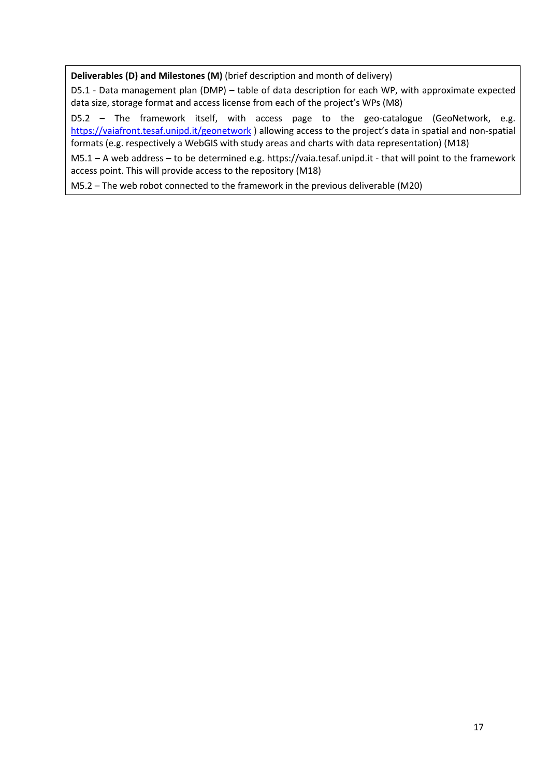**Deliverables (D) and Milestones (M)** (brief description and month of delivery)

D5.1 - Data management plan (DMP) – table of data description for each WP, with approximate expected data size, storage format and access license from each of the project's WPs (M8)

D5.2 – The framework itself, with access page to the geo-catalogue (GeoNetwork, e.g. https://vaiafront.tesaf.unipd.it/geonetwork ) allowing access to the project's data in spatial and non-spatial formats (e.g. respectively a WebGIS with study areas and charts with data representation) (M18)

M5.1 – A web address – to be determined e.g. https://vaia.tesaf.unipd.it - that will point to the framework access point. This will provide access to the repository (M18)

M5.2 – The web robot connected to the framework in the previous deliverable (M20)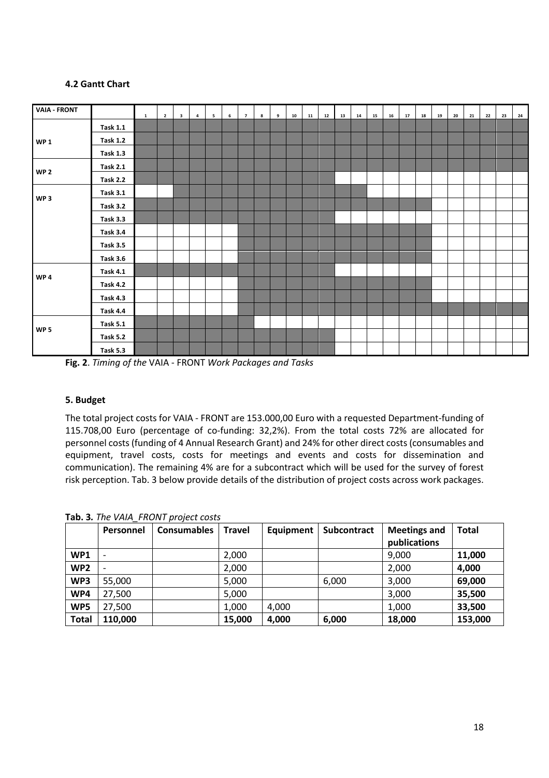## **4.2 Gantt Chart**

| <b>VAIA - FRONT</b> |                 | $\mathbf{1}$ | $\overline{2}$ | $\overline{\mathbf{3}}$ | $\overline{a}$ | $\overline{\mathbf{5}}$ | $\bf 6$ | $\overline{7}$ | 8 | 9 | ${\bf 10}$ | ${\bf 11}$ | $12\,$ | 13 | ${\bf 14}$ | 15 | 16 | ${\bf 17}$ | 18 | 19 | 20 | 21 | 22 | 23 | 24 |
|---------------------|-----------------|--------------|----------------|-------------------------|----------------|-------------------------|---------|----------------|---|---|------------|------------|--------|----|------------|----|----|------------|----|----|----|----|----|----|----|
|                     | <b>Task 1.1</b> |              |                |                         |                |                         |         |                |   |   |            |            |        |    |            |    |    |            |    |    |    |    |    |    |    |
| <b>WP1</b>          | <b>Task 1.2</b> |              |                |                         |                |                         |         |                |   |   |            |            |        |    |            |    |    |            |    |    |    |    |    |    |    |
|                     | <b>Task 1.3</b> |              |                |                         |                |                         |         |                |   |   |            |            |        |    |            |    |    |            |    |    |    |    |    |    |    |
| WP <sub>2</sub>     | <b>Task 2.1</b> |              |                |                         |                |                         |         |                |   |   |            |            |        |    |            |    |    |            |    |    |    |    |    |    |    |
|                     | <b>Task 2.2</b> |              |                |                         |                |                         |         |                |   |   |            |            |        |    |            |    |    |            |    |    |    |    |    |    |    |
| WP <sub>3</sub>     | <b>Task 3.1</b> |              |                |                         |                |                         |         |                |   |   |            |            |        |    |            |    |    |            |    |    |    |    |    |    |    |
|                     | <b>Task 3.2</b> |              |                |                         |                |                         |         |                |   |   |            |            |        |    |            |    |    |            |    |    |    |    |    |    |    |
|                     | <b>Task 3.3</b> |              |                |                         |                |                         |         |                |   |   |            |            |        |    |            |    |    |            |    |    |    |    |    |    |    |
|                     | <b>Task 3.4</b> |              |                |                         |                |                         |         |                |   |   |            |            |        |    |            |    |    |            |    |    |    |    |    |    |    |
|                     | <b>Task 3.5</b> |              |                |                         |                |                         |         |                |   |   |            |            |        |    |            |    |    |            |    |    |    |    |    |    |    |
|                     | <b>Task 3.6</b> |              |                |                         |                |                         |         |                |   |   |            |            |        |    |            |    |    |            |    |    |    |    |    |    |    |
| WP <sub>4</sub>     | <b>Task 4.1</b> |              |                |                         |                |                         |         |                |   |   |            |            |        |    |            |    |    |            |    |    |    |    |    |    |    |
|                     | <b>Task 4.2</b> |              |                |                         |                |                         |         |                |   |   |            |            |        |    |            |    |    |            |    |    |    |    |    |    |    |
|                     | <b>Task 4.3</b> |              |                |                         |                |                         |         |                |   |   |            |            |        |    |            |    |    |            |    |    |    |    |    |    |    |
|                     | <b>Task 4.4</b> |              |                |                         |                |                         |         |                |   |   |            |            |        |    |            |    |    |            |    |    |    |    |    |    |    |
| WP <sub>5</sub>     | <b>Task 5.1</b> |              |                |                         |                |                         |         |                |   |   |            |            |        |    |            |    |    |            |    |    |    |    |    |    |    |
|                     | <b>Task 5.2</b> |              |                |                         |                |                         |         |                |   |   |            |            |        |    |            |    |    |            |    |    |    |    |    |    |    |
|                     | <b>Task 5.3</b> |              |                |                         |                |                         |         |                |   |   |            |            |        |    |            |    |    |            |    |    |    |    |    |    |    |

**Fig. 2**. *Timing of the* VAIA - FRONT *Work Packages and Tasks*

#### **5. Budget**

The total project costs for VAIA - FRONT are 153.000,00 Euro with a requested Department-funding of 115.708,00 Euro (percentage of co-funding: 32,2%). From the total costs 72% are allocated for personnel costs (funding of 4 Annual Research Grant) and 24% for other direct costs (consumables and equipment, travel costs, costs for meetings and events and costs for dissemination and communication). The remaining 4% are for a subcontract which will be used for the survey of forest risk perception. Tab. 3 below provide details of the distribution of project costs across work packages.

|                 | Personnel                | <b>Consumables</b> | <b>Travel</b> | Equipment | <b>Subcontract</b> | <b>Meetings and</b> | <b>Total</b> |
|-----------------|--------------------------|--------------------|---------------|-----------|--------------------|---------------------|--------------|
|                 |                          |                    |               |           |                    | publications        |              |
| WP1             | $\overline{\phantom{0}}$ |                    | 2,000         |           |                    | 9,000               | 11,000       |
| WP <sub>2</sub> |                          |                    | 2,000         |           |                    | 2,000               | 4,000        |
| WP3             | 55,000                   |                    | 5,000         |           | 6,000              | 3,000               | 69,000       |
| WP4             | 27,500                   |                    | 5,000         |           |                    | 3,000               | 35,500       |
| WP5             | 27,500                   |                    | 1,000         | 4,000     |                    | 1,000               | 33,500       |
| <b>Total</b>    | 110,000                  |                    | 15,000        | 4,000     | 6,000              | 18,000              | 153,000      |

**Tab. 3***. The VAIA\_FRONT project costs*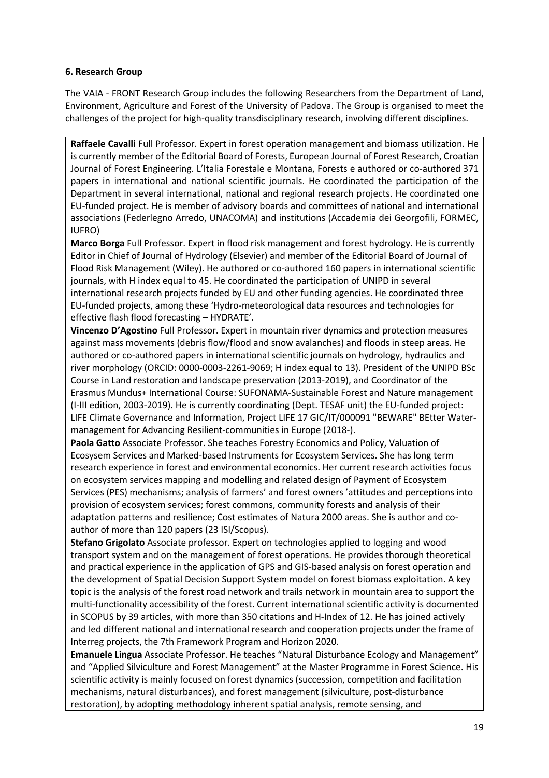# **6. Research Group**

The VAIA - FRONT Research Group includes the following Researchers from the Department of Land, Environment, Agriculture and Forest of the University of Padova. The Group is organised to meet the challenges of the project for high-quality transdisciplinary research, involving different disciplines.

**Raffaele Cavalli** Full Professor. Expert in forest operation management and biomass utilization. He is currently member of the Editorial Board of Forests, European Journal of Forest Research, Croatian Journal of Forest Engineering. L'Italia Forestale e Montana, Forests e authored or co-authored 371 papers in international and national scientific journals. He coordinated the participation of the Department in several international, national and regional research projects. He coordinated one EU-funded project. He is member of advisory boards and committees of national and international associations (Federlegno Arredo, UNACOMA) and institutions (Accademia dei Georgofili, FORMEC, IUFRO)

**Marco Borga** Full Professor. Expert in flood risk management and forest hydrology. He is currently Editor in Chief of Journal of Hydrology (Elsevier) and member of the Editorial Board of Journal of Flood Risk Management (Wiley). He authored or co-authored 160 papers in international scientific journals, with H index equal to 45. He coordinated the participation of UNIPD in several international research projects funded by EU and other funding agencies. He coordinated three EU-funded projects, among these 'Hydro-meteorological data resources and technologies for effective flash flood forecasting – HYDRATE'.

**Vincenzo D'Agostino** Full Professor. Expert in mountain river dynamics and protection measures against mass movements (debris flow/flood and snow avalanches) and floods in steep areas. He authored or co-authored papers in international scientific journals on hydrology, hydraulics and river morphology (ORCID: 0000-0003-2261-9069; H index equal to 13). President of the UNIPD BSc Course in Land restoration and landscape preservation (2013-2019), and Coordinator of the Erasmus Mundus+ International Course: SUFONAMA-Sustainable Forest and Nature management (I-III edition, 2003-2019). He is currently coordinating (Dept. TESAF unit) the EU-funded project: LIFE Climate Governance and Information, Project LIFE 17 GIC/IT/000091 "BEWARE" BEtter Watermanagement for Advancing Resilient-communities in Europe (2018-).

**Paola Gatto** Associate Professor. She teaches Forestry Economics and Policy, Valuation of Ecosysem Services and Marked-based Instruments for Ecosystem Services. She has long term research experience in forest and environmental economics. Her current research activities focus on ecosystem services mapping and modelling and related design of Payment of Ecosystem Services (PES) mechanisms; analysis of farmers' and forest owners 'attitudes and perceptions into provision of ecosystem services; forest commons, community forests and analysis of their adaptation patterns and resilience; Cost estimates of Natura 2000 areas. She is author and coauthor of more than 120 papers (23 ISI/Scopus).

**Stefano Grigolato** Associate professor. Expert on technologies applied to logging and wood transport system and on the management of forest operations. He provides thorough theoretical and practical experience in the application of GPS and GIS-based analysis on forest operation and the development of Spatial Decision Support System model on forest biomass exploitation. A key topic is the analysis of the forest road network and trails network in mountain area to support the multi-functionality accessibility of the forest. Current international scientific activity is documented in SCOPUS by 39 articles, with more than 350 citations and H-Index of 12. He has joined actively and led different national and international research and cooperation projects under the frame of Interreg projects, the 7th Framework Program and Horizon 2020.

**Emanuele Lingua** Associate Professor. He teaches "Natural Disturbance Ecology and Management" and "Applied Silviculture and Forest Management" at the Master Programme in Forest Science. His scientific activity is mainly focused on forest dynamics (succession, competition and facilitation mechanisms, natural disturbances), and forest management (silviculture, post-disturbance restoration), by adopting methodology inherent spatial analysis, remote sensing, and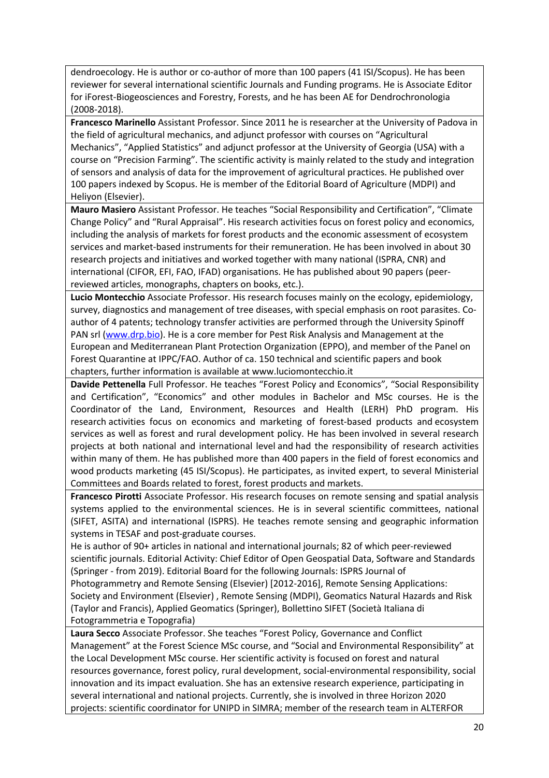dendroecology. He is author or co-author of more than 100 papers (41 ISI/Scopus). He has been reviewer for several international scientific Journals and Funding programs. He is Associate Editor for iForest-Biogeosciences and Forestry, Forests, and he has been AE for Dendrochronologia (2008-2018).

**Francesco Marinello** Assistant Professor. Since 2011 he is researcher at the University of Padova in the field of agricultural mechanics, and adjunct professor with courses on "Agricultural Mechanics", "Applied Statistics" and adjunct professor at the University of Georgia (USA) with a course on "Precision Farming". The scientific activity is mainly related to the study and integration of sensors and analysis of data for the improvement of agricultural practices. He published over 100 papers indexed by Scopus. He is member of the Editorial Board of Agriculture (MDPI) and Heliyon (Elsevier).

**Mauro Masiero** Assistant Professor. He teaches "Social Responsibility and Certification", "Climate Change Policy" and "Rural Appraisal". His research activities focus on forest policy and economics, including the analysis of markets for forest products and the economic assessment of ecosystem services and market-based instruments for their remuneration. He has been involved in about 30 research projects and initiatives and worked together with many national (ISPRA, CNR) and international (CIFOR, EFI, FAO, IFAD) organisations. He has published about 90 papers (peerreviewed articles, monographs, chapters on books, etc.).

**Lucio Montecchio** Associate Professor. His research focuses mainly on the ecology, epidemiology, survey, diagnostics and management of tree diseases, with special emphasis on root parasites. Coauthor of 4 patents; technology transfer activities are performed through the University Spinoff PAN srl (www.drp.bio). He is a core member for Pest Risk Analysis and Management at the European and Mediterranean Plant Protection Organization (EPPO), and member of the Panel on Forest Quarantine at IPPC/FAO. Author of ca. 150 technical and scientific papers and book chapters, further information is available at www.luciomontecchio.it

**Davide Pettenella** Full Professor. He teaches "Forest Policy and Economics", "Social Responsibility and Certification", "Economics" and other modules in Bachelor and MSc courses. He is the Coordinator of the Land, Environment, Resources and Health (LERH) PhD program. His research activities focus on economics and marketing of forest-based products and ecosystem services as well as forest and rural development policy. He has been involved in several research projects at both national and international level and had the responsibility of research activities within many of them. He has published more than 400 papers in the field of forest economics and wood products marketing (45 ISI/Scopus). He participates, as invited expert, to several Ministerial Committees and Boards related to forest, forest products and markets.

**Francesco Pirotti** Associate Professor. His research focuses on remote sensing and spatial analysis systems applied to the environmental sciences. He is in several scientific committees, national (SIFET, ASITA) and international (ISPRS). He teaches remote sensing and geographic information systems in TESAF and post-graduate courses.

He is author of 90+ articles in national and international journals; 82 of which peer-reviewed scientific journals. Editorial Activity: Chief Editor of Open Geospatial Data, Software and Standards (Springer - from 2019). Editorial Board for the following Journals: ISPRS Journal of

Photogrammetry and Remote Sensing (Elsevier) [2012-2016], Remote Sensing Applications: Society and Environment (Elsevier) , Remote Sensing (MDPI), Geomatics Natural Hazards and Risk (Taylor and Francis), Applied Geomatics (Springer), Bollettino SIFET (Società Italiana di Fotogrammetria e Topografia)

**Laura Secco** Associate Professor. She teaches "Forest Policy, Governance and Conflict Management" at the Forest Science MSc course, and "Social and Environmental Responsibility" at the Local Development MSc course. Her scientific activity is focused on forest and natural resources governance, forest policy, rural development, social-environmental responsibility, social innovation and its impact evaluation. She has an extensive research experience, participating in several international and national projects. Currently, she is involved in three Horizon 2020 projects: scientific coordinator for UNIPD in SIMRA; member of the research team in ALTERFOR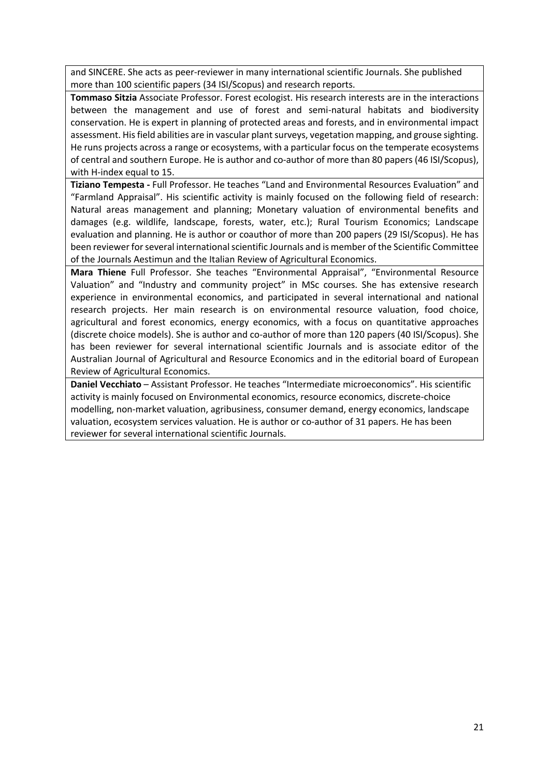and SINCERE. She acts as peer-reviewer in many international scientific Journals. She published more than 100 scientific papers (34 ISI/Scopus) and research reports.

**Tommaso Sitzia** Associate Professor. Forest ecologist. His research interests are in the interactions between the management and use of forest and semi-natural habitats and biodiversity conservation. He is expert in planning of protected areas and forests, and in environmental impact assessment. His field abilities are in vascular plant surveys, vegetation mapping, and grouse sighting. He runs projects across a range or ecosystems, with a particular focus on the temperate ecosystems of central and southern Europe. He is author and co-author of more than 80 papers (46 ISI/Scopus), with H-index equal to 15.

**Tiziano Tempesta -** Full Professor. He teaches "Land and Environmental Resources Evaluation" and "Farmland Appraisal". His scientific activity is mainly focused on the following field of research: Natural areas management and planning; Monetary valuation of environmental benefits and damages (e.g. wildlife, landscape, forests, water, etc.); Rural Tourism Economics; Landscape evaluation and planning. He is author or coauthor of more than 200 papers (29 ISI/Scopus). He has been reviewer for several international scientific Journals and is member of the Scientific Committee of the Journals Aestimun and the Italian Review of Agricultural Economics.

**Mara Thiene** Full Professor. She teaches "Environmental Appraisal", "Environmental Resource Valuation" and "Industry and community project" in MSc courses. She has extensive research experience in environmental economics, and participated in several international and national research projects. Her main research is on environmental resource valuation, food choice, agricultural and forest economics, energy economics, with a focus on quantitative approaches (discrete choice models). She is author and co-author of more than 120 papers (40 ISI/Scopus). She has been reviewer for several international scientific Journals and is associate editor of the Australian Journal of Agricultural and Resource Economics and in the editorial board of European Review of Agricultural Economics.

**Daniel Vecchiato** – Assistant Professor. He teaches "Intermediate microeconomics". His scientific activity is mainly focused on Environmental economics, resource economics, discrete-choice modelling, non-market valuation, agribusiness, consumer demand, energy economics, landscape valuation, ecosystem services valuation. He is author or co-author of 31 papers. He has been reviewer for several international scientific Journals.